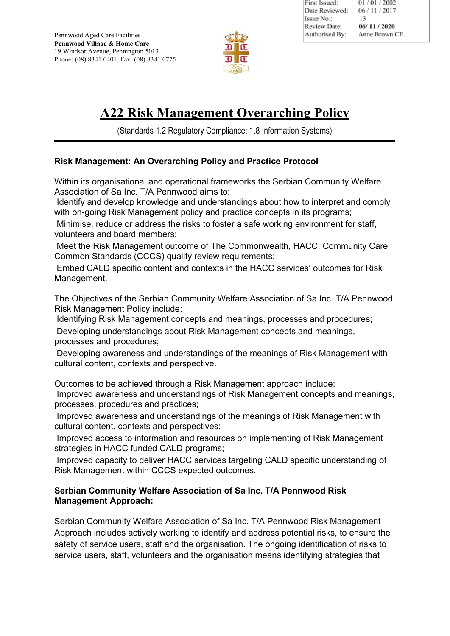

## **A22 Risk Management Overarching Policy**

(Standards 1.2 Regulatory Compliance; 1.8 Information Systems)

## **Risk Management: An Overarching Policy and Practice Protocol**

Within its organisational and operational frameworks the Serbian Community Welfare Association of Sa Inc. T/A Pennwood aims to:

Identify and develop knowledge and understandings about how to interpret and comply with on-going Risk Management policy and practice concepts in its programs;

Minimise, reduce or address the risks to foster a safe working environment for staff, volunteers and board members;

Meet the Risk Management outcome of The Commonwealth, HACC, Community Care Common Standards (CCCS) quality review requirements;

Embed CALD specific content and contexts in the HACC services' outcomes for Risk Management.

The Objectives of the Serbian Community Welfare Association of Sa Inc. T/A Pennwood Risk Management Policy include:

Identifying Risk Management concepts and meanings, processes and procedures; Developing understandings about Risk Management concepts and meanings, processes and procedures;

Developing awareness and understandings of the meanings of Risk Management with cultural content, contexts and perspective.

Outcomes to be achieved through a Risk Management approach include:

Improved awareness and understandings of Risk Management concepts and meanings, processes, procedures and practices;

Improved awareness and understandings of the meanings of Risk Management with cultural content, contexts and perspectives;

Improved access to information and resources on implementing of Risk Management strategies in HACC funded CALD programs;

Improved capacity to deliver HACC services targeting CALD specific understanding of Risk Management within CCCS expected outcomes.

## **Serbian Community Welfare Association of Sa Inc. T/A Pennwood Risk Management Approach:**

Serbian Community Welfare Association of Sa Inc. T/A Pennwood Risk Management Approach includes actively working to identify and address potential risks, to ensure the safety of service users, staff and the organisation. The ongoing identification of risks to service users, staff, volunteers and the organisation means identifying strategies that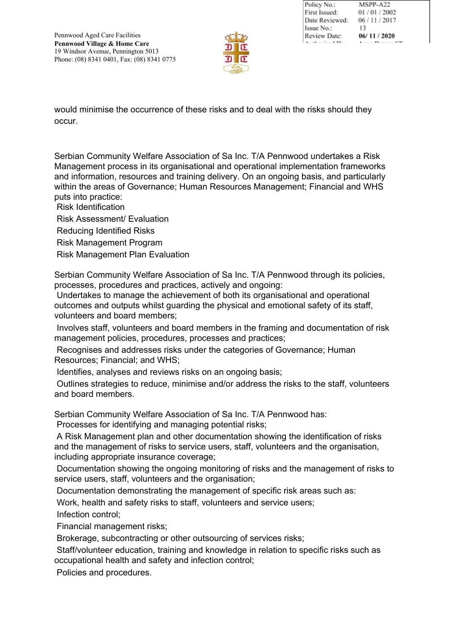

| Policy No.:    | MSPP-A22       |
|----------------|----------------|
| First Issued:  | 01/01/2002     |
| Date Reviewed: | 06 / 11 / 2017 |
| Issue No.:     | 13             |
| Review Date:   | 06/11/2020     |
|                |                |

would minimise the occurrence of these risks and to deal with the risks should they occur.

Serbian Community Welfare Association of Sa Inc. T/A Pennwood undertakes a Risk Management process in its organisational and operational implementation frameworks and information, resources and training delivery. On an ongoing basis, and particularly within the areas of Governance; Human Resources Management; Financial and WHS puts into practice:

Risk Identification

Risk Assessment/ Evaluation

Reducing Identified Risks

Risk Management Program

Risk Management Plan Evaluation

Serbian Community Welfare Association of Sa Inc. T/A Pennwood through its policies, processes, procedures and practices, actively and ongoing:

Undertakes to manage the achievement of both its organisational and operational outcomes and outputs whilst guarding the physical and emotional safety of its staff, volunteers and board members;

Involves staff, volunteers and board members in the framing and documentation of risk management policies, procedures, processes and practices;

Recognises and addresses risks under the categories of Governance; Human Resources; Financial; and WHS;

Identifies, analyses and reviews risks on an ongoing basis;

Outlines strategies to reduce, minimise and/or address the risks to the staff, volunteers and board members.

Serbian Community Welfare Association of Sa Inc. T/A Pennwood has:

Processes for identifying and managing potential risks;

A Risk Management plan and other documentation showing the identification of risks and the management of risks to service users, staff, volunteers and the organisation, including appropriate insurance coverage;

Documentation showing the ongoing monitoring of risks and the management of risks to service users, staff, volunteers and the organisation;

Documentation demonstrating the management of specific risk areas such as:

Work, health and safety risks to staff, volunteers and service users;

Infection control;

Financial management risks;

Brokerage, subcontracting or other outsourcing of services risks;

Staff/volunteer education, training and knowledge in relation to specific risks such as occupational health and safety and infection control;

Policies and procedures.